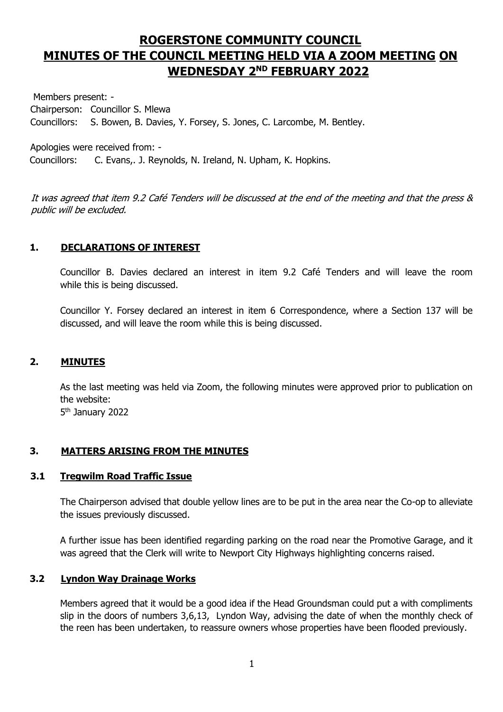# **ROGERSTONE COMMUNITY COUNCIL MINUTES OF THE COUNCIL MEETING HELD VIA A ZOOM MEETING ON WEDNESDAY 2 ND FEBRUARY 2022**

Members present: - Chairperson: Councillor S. Mlewa Councillors: S. Bowen, B. Davies, Y. Forsey, S. Jones, C. Larcombe, M. Bentley.

Apologies were received from: - Councillors: C. Evans,. J. Reynolds, N. Ireland, N. Upham, K. Hopkins.

It was agreed that item 9.2 Café Tenders will be discussed at the end of the meeting and that the press & public will be excluded.

# **1. DECLARATIONS OF INTEREST**

Councillor B. Davies declared an interest in item 9.2 Café Tenders and will leave the room while this is being discussed.

Councillor Y. Forsey declared an interest in item 6 Correspondence, where a Section 137 will be discussed, and will leave the room while this is being discussed.

# **2. MINUTES**

As the last meeting was held via Zoom, the following minutes were approved prior to publication on the website:

5<sup>th</sup> January 2022

## **3. MATTERS ARISING FROM THE MINUTES**

## **3.1 Tregwilm Road Traffic Issue**

The Chairperson advised that double yellow lines are to be put in the area near the Co-op to alleviate the issues previously discussed.

A further issue has been identified regarding parking on the road near the Promotive Garage, and it was agreed that the Clerk will write to Newport City Highways highlighting concerns raised.

## **3.2 Lyndon Way Drainage Works**

Members agreed that it would be a good idea if the Head Groundsman could put a with compliments slip in the doors of numbers 3,6,13, Lyndon Way, advising the date of when the monthly check of the reen has been undertaken, to reassure owners whose properties have been flooded previously.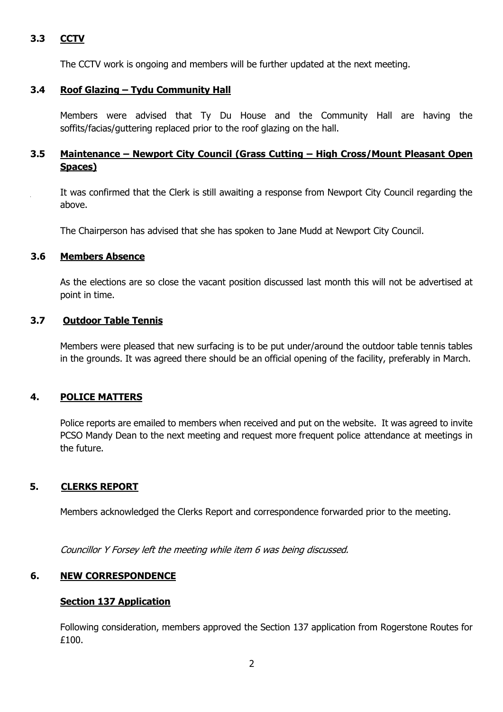# **3.3 CCTV**

The CCTV work is ongoing and members will be further updated at the next meeting.

### **3.4 Roof Glazing – Tydu Community Hall**

Members were advised that Ty Du House and the Community Hall are having the soffits/facias/guttering replaced prior to the roof glazing on the hall.

# **3.5 Maintenance – Newport City Council (Grass Cutting – High Cross/Mount Pleasant Open Spaces)**

It was confirmed that the Clerk is still awaiting a response from Newport City Council regarding the above.

The Chairperson has advised that she has spoken to Jane Mudd at Newport City Council.

#### **3.6 Members Absence**

As the elections are so close the vacant position discussed last month this will not be advertised at point in time.

#### **3.7 Outdoor Table Tennis**

Members were pleased that new surfacing is to be put under/around the outdoor table tennis tables in the grounds. It was agreed there should be an official opening of the facility, preferably in March.

#### **4. POLICE MATTERS**

Police reports are emailed to members when received and put on the website. It was agreed to invite PCSO Mandy Dean to the next meeting and request more frequent police attendance at meetings in the future.

#### **5. CLERKS REPORT**

Members acknowledged the Clerks Report and correspondence forwarded prior to the meeting.

Councillor Y Forsey left the meeting while item 6 was being discussed.

#### **6. NEW CORRESPONDENCE**

#### **Section 137 Application**

Following consideration, members approved the Section 137 application from Rogerstone Routes for £100.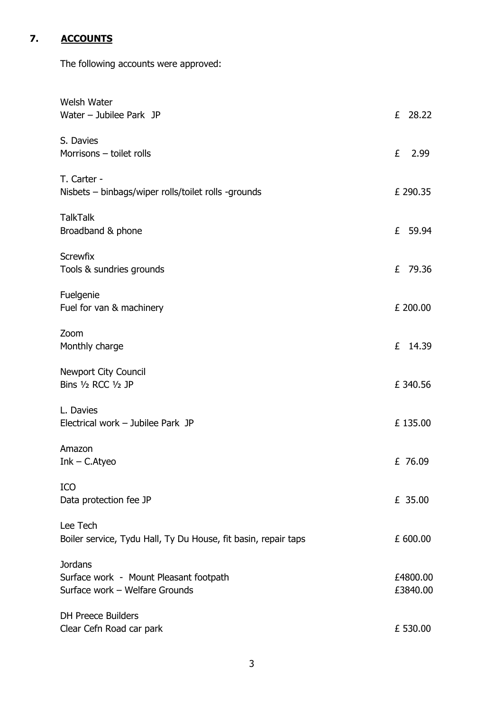# **7. ACCOUNTS**

The following accounts were approved:

| Welsh Water<br>Water $-$ Jubilee Park JP                                                   |   | £ 28.22              |
|--------------------------------------------------------------------------------------------|---|----------------------|
| S. Davies<br>Morrisons - toilet rolls                                                      | £ | 2.99                 |
| T. Carter -<br>Nisbets – binbags/wiper rolls/toilet rolls -grounds                         |   | £ 290.35             |
| <b>TalkTalk</b><br>Broadband & phone                                                       |   | £ 59.94              |
| <b>Screwfix</b><br>Tools & sundries grounds                                                | £ | 79.36                |
| Fuelgenie<br>Fuel for van & machinery                                                      |   | £ 200.00             |
| Zoom<br>Monthly charge                                                                     |   | £ 14.39              |
| <b>Newport City Council</b><br>Bins 1/2 RCC 1/2 JP                                         |   | £ 340.56             |
| L. Davies<br>Electrical work - Jubilee Park JP                                             |   | £135.00              |
| Amazon<br>$Ink - C.A$ tyeo                                                                 |   | £ 76.09              |
| ICO<br>Data protection fee JP                                                              |   | £ 35.00              |
| Lee Tech<br>Boiler service, Tydu Hall, Ty Du House, fit basin, repair taps                 |   | £ 600.00             |
| <b>Jordans</b><br>Surface work - Mount Pleasant footpath<br>Surface work - Welfare Grounds |   | £4800.00<br>£3840.00 |
| <b>DH Preece Builders</b><br>Clear Cefn Road car park                                      |   | £ 530.00             |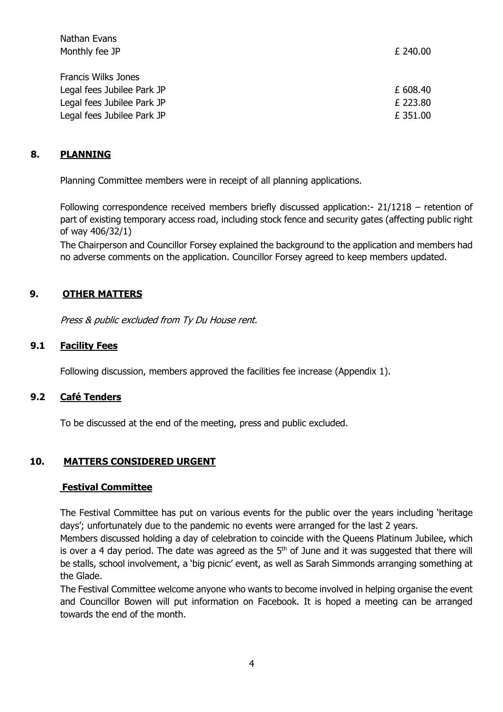| Nathan Evans               |          |
|----------------------------|----------|
| Monthly fee JP             | £ 240.00 |
|                            |          |
| Francis Wilks Jones        |          |
| Legal fees Jubilee Park JP | £ 608.40 |
| Legal fees Jubilee Park JP | £ 223.80 |
| Legal fees Jubilee Park JP | £ 351.00 |
|                            |          |

## **8. PLANNING**

Planning Committee members were in receipt of all planning applications.

Following correspondence received members briefly discussed application:- 21/1218 – retention of part of existing temporary access road, including stock fence and security gates (affecting public right of way 406/32/1)

The Chairperson and Councillor Forsey explained the background to the application and members had no adverse comments on the application. Councillor Forsey agreed to keep members updated.

### **9. OTHER MATTERS**

Press & public excluded from Ty Du House rent.

#### **9.1 Facility Fees**

Following discussion, members approved the facilities fee increase (Appendix 1).

#### **9.2 Café Tenders**

To be discussed at the end of the meeting, press and public excluded.

#### **10. MATTERS CONSIDERED URGENT**

#### **Festival Committee**

The Festival Committee has put on various events for the public over the years including 'heritage days'; unfortunately due to the pandemic no events were arranged for the last 2 years.

Members discussed holding a day of celebration to coincide with the Queens Platinum Jubilee, which is over a 4 day period. The date was agreed as the  $5<sup>th</sup>$  of June and it was suggested that there will be stalls, school involvement, a 'big picnic' event, as well as Sarah Simmonds arranging something at the Glade.

The Festival Committee welcome anyone who wants to become involved in helping organise the event and Councillor Bowen will put information on Facebook. It is hoped a meeting can be arranged towards the end of the month.